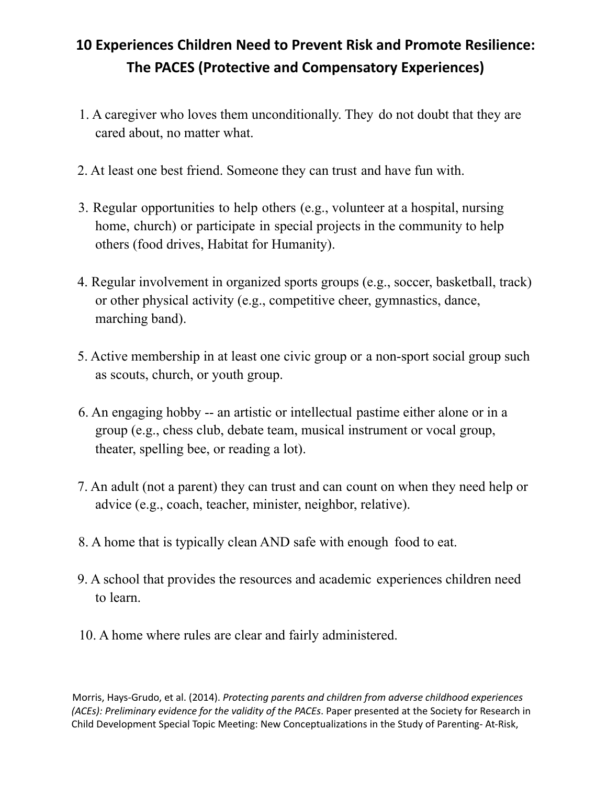# **10 Experiences Children Need to Prevent Risk and Promote Resilience: The PACES (Protective and Compensatory Experiences)**

- 1. A caregiver who loves them unconditionally. They do not doubt that they are cared about, no matter what.
- 2. At least one best friend. Someone they can trust and have fun with.
- 3. Regular opportunities to help others (e.g., volunteer at a hospital, nursing home, church) or participate in special projects in the community to help others (food drives, Habitat for Humanity).
- 4. Regular involvement in organized sports groups (e.g., soccer, basketball, track) or other physical activity (e.g., competitive cheer, gymnastics, dance, marching band).
- 5. Active membership in at least one civic group or a non-sport social group such as scouts, church, or youth group.
- 6. An engaging hobby -- an artistic or intellectual pastime either alone or in a group (e.g., chess club, debate team, musical instrument or vocal group, theater, spelling bee, or reading a lot).
- 7. An adult (not a parent) they can trust and can count on when they need help or advice (e.g., coach, teacher, minister, neighbor, relative).
- 8. A home that is typically clean AND safe with enough food to eat.
- 9. A school that provides the resources and academic experiences children need to learn.
- 10. A home where rules are clear and fairly administered.

Morris, Hays-Grudo, et al. (2014). *Protecting parents and children from adverse childhood experiences (ACEs): Preliminary evidence for the validity of the PACEs*. Paper presented at the Society for Research in Child Development Special Topic Meeting: New Conceptualizations in the Study of Parenting- At-Risk,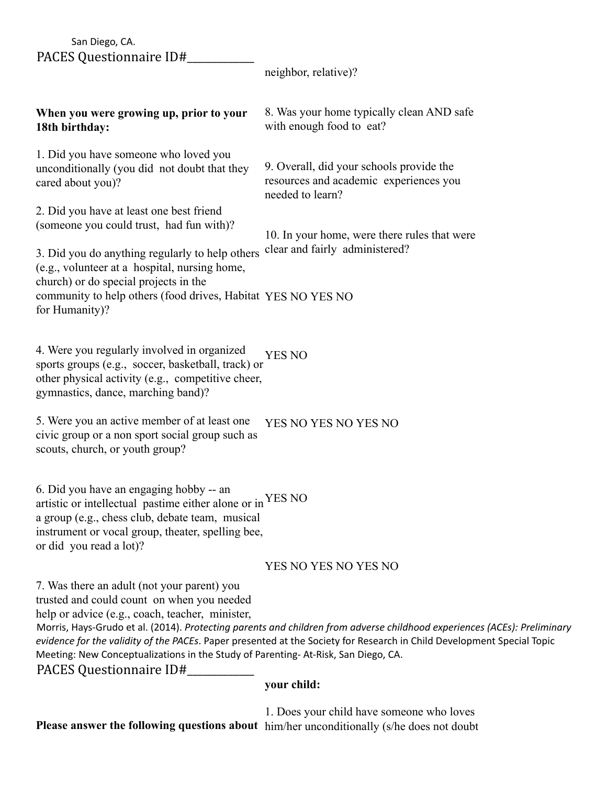#### San Diego, CA. PACES Questionnaire ID#\_\_\_\_\_\_\_\_\_\_\_\_\_

neighbor, relative)?

## **When you were growing up, prior to your 18th birthday:**

1. Did you have someone who loved you unconditionally (you did not doubt that they cared about you)?

2. Did you have at least one best friend (someone you could trust, had fun with)? 8. Was your home typically clean AND safe with enough food to eat?

9. Overall, did your schools provide the resources and academic experiences you needed to learn?

10. In your home, were there rules that were clear and fairly administered?

3. Did you do anything regularly to help others (e.g., volunteer at a hospital, nursing home, church) or do special projects in the community to help others (food drives, Habitat YES NO YES NO for Humanity)?

4. Were you regularly involved in organized sports groups (e.g., soccer, basketball, track) or other physical activity (e.g., competitive cheer, gymnastics, dance, marching band)? YES NO

5. Were you an active member of at least one civic group or a non sport social group such as scouts, church, or youth group? YES NO YES NO YES NO

6. Did you have an engaging hobby -- an artistic or intellectual pastime either alone or in YES NO a group (e.g., chess club, debate team, musical instrument or vocal group, theater, spelling bee, or did you read a lot)?

### YES NO YES NO YES NO

7. Was there an adult (not your parent) you

trusted and could count on when you needed

help or advice (e.g., coach, teacher, minister,

Morris, Hays-Grudo et al. (2014). *Protecting parents and children from adverse childhood experiences (ACEs): Preliminary evidence for the validity of the PACEs*. Paper presented at the Society for Research in Child Development Special Topic Meeting: New Conceptualizations in the Study of Parenting- At-Risk, San Diego, CA.

PACES Questionnaire ID#\_\_\_\_\_\_\_\_\_\_\_\_\_

### **your child:**

**Please answer the following questions about** him/her unconditionally (s/he does not doubt1. Does your child have someone who loves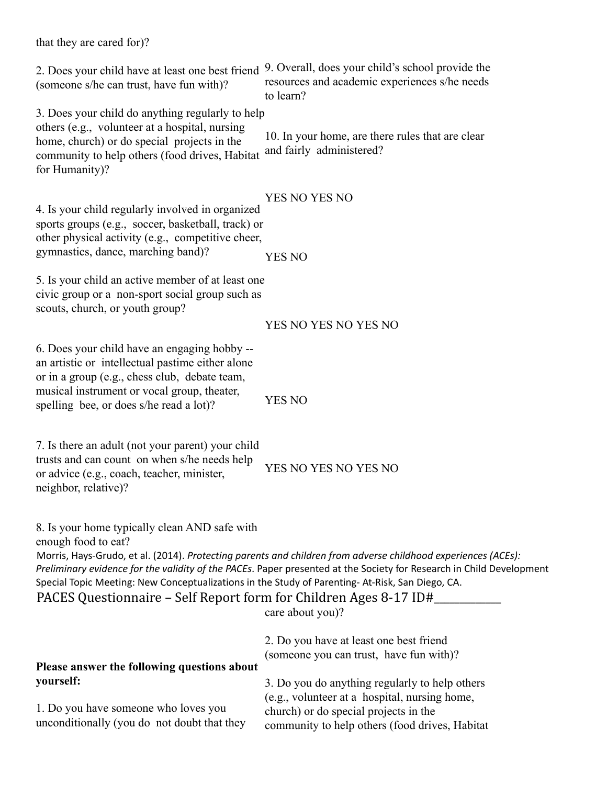2. Does your child have at least one best friend 9. Overall, does your child's school provide the (someone s/he can trust, have fun with)? 3. Does your child do anything regularly to help others (e.g., volunteer at a hospital, nursing home, church) or do special projects in the community to help others (food drives, Habitat for Humanity)? 4. Is your child regularly involved in organized sports groups (e.g., soccer, basketball, track) or other physical activity (e.g., competitive cheer, gymnastics, dance, marching band)? 5. Is your child an active member of at least one civic group or a non-sport social group such as scouts, church, or youth group? 6. Does your child have an engaging hobby - an artistic or intellectual pastime either alone or in a group (e.g., chess club, debate team, musical instrument or vocal group, theater, spelling bee, or does s/he read a lot)? 7. Is there an adult (not your parent) your child trusts and can count on when s/he needs help or advice (e.g., coach, teacher, minister, neighbor, relative)? 8. Is your home typically clean AND safe with enough food to eat? resources and academic experiences s/he needs to learn? 10. In your home, are there rules that are clear and fairly administered? YES NO YES NO YES NO YES NO YES NO YES NO YES NO YES NO YES NO YES NO Morris, Hays-Grudo, et al. (2014). *Protecting parents and children from adverse childhood experiences (ACEs): Preliminary evidence for the validity of the PACEs*. Paper presented at the Society for Research in Child Development Special Topic Meeting: New Conceptualizations in the Study of Parenting- At-Risk, San Diego, CA. PACES Questionnaire – Self Report form for Children Ages 8-17 ID# **Please answer the following questions about yourself:** 1. Do you have someone who loves you unconditionally (you do not doubt that they care about you)? 2. Do you have at least one best friend (someone you can trust, have fun with)? 3. Do you do anything regularly to help others (e.g., volunteer at a hospital, nursing home, church) or do special projects in the community to help others (food drives, Habitat

that they are cared for)?